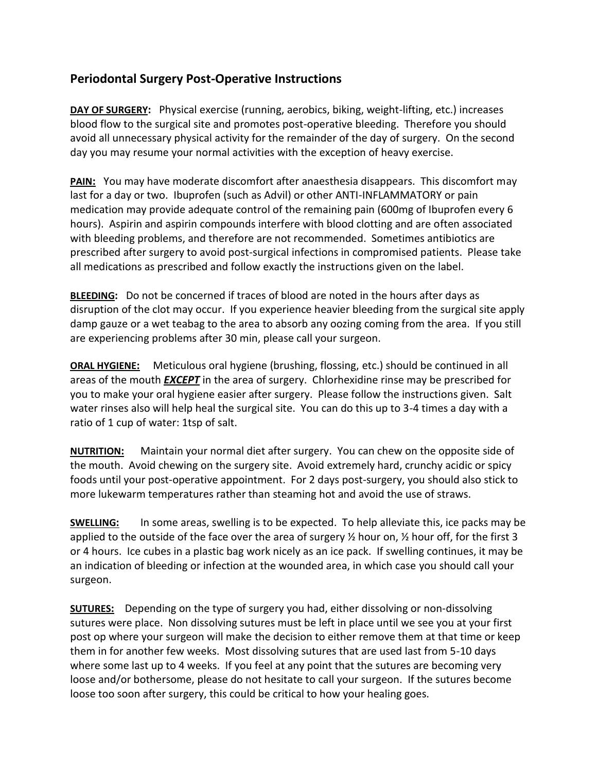## **Periodontal Surgery Post-Operative Instructions**

**DAY OF SURGERY:** Physical exercise (running, aerobics, biking, weight-lifting, etc.) increases blood flow to the surgical site and promotes post-operative bleeding. Therefore you should avoid all unnecessary physical activity for the remainder of the day of surgery. On the second day you may resume your normal activities with the exception of heavy exercise.

**PAIN:** You may have moderate discomfort after anaesthesia disappears. This discomfort may last for a day or two. Ibuprofen (such as Advil) or other ANTI-INFLAMMATORY or pain medication may provide adequate control of the remaining pain (600mg of Ibuprofen every 6 hours). Aspirin and aspirin compounds interfere with blood clotting and are often associated with bleeding problems, and therefore are not recommended. Sometimes antibiotics are prescribed after surgery to avoid post-surgical infections in compromised patients. Please take all medications as prescribed and follow exactly the instructions given on the label.

**BLEEDING:** Do not be concerned if traces of blood are noted in the hours after days as disruption of the clot may occur. If you experience heavier bleeding from the surgical site apply damp gauze or a wet teabag to the area to absorb any oozing coming from the area. If you still are experiencing problems after 30 min, please call your surgeon.

**ORAL HYGIENE:** Meticulous oral hygiene (brushing, flossing, etc.) should be continued in all areas of the mouth *EXCEPT* in the area of surgery. Chlorhexidine rinse may be prescribed for you to make your oral hygiene easier after surgery. Please follow the instructions given. Salt water rinses also will help heal the surgical site. You can do this up to 3-4 times a day with a ratio of 1 cup of water: 1tsp of salt.

**NUTRITION:** Maintain your normal diet after surgery. You can chew on the opposite side of the mouth. Avoid chewing on the surgery site. Avoid extremely hard, crunchy acidic or spicy foods until your post-operative appointment. For 2 days post-surgery, you should also stick to more lukewarm temperatures rather than steaming hot and avoid the use of straws.

**SWELLING:** In some areas, swelling is to be expected. To help alleviate this, ice packs may be applied to the outside of the face over the area of surgery ½ hour on, ½ hour off, for the first 3 or 4 hours. Ice cubes in a plastic bag work nicely as an ice pack. If swelling continues, it may be an indication of bleeding or infection at the wounded area, in which case you should call your surgeon.

**SUTURES:** Depending on the type of surgery you had, either dissolving or non-dissolving sutures were place. Non dissolving sutures must be left in place until we see you at your first post op where your surgeon will make the decision to either remove them at that time or keep them in for another few weeks. Most dissolving sutures that are used last from 5-10 days where some last up to 4 weeks. If you feel at any point that the sutures are becoming very loose and/or bothersome, please do not hesitate to call your surgeon. If the sutures become loose too soon after surgery, this could be critical to how your healing goes.